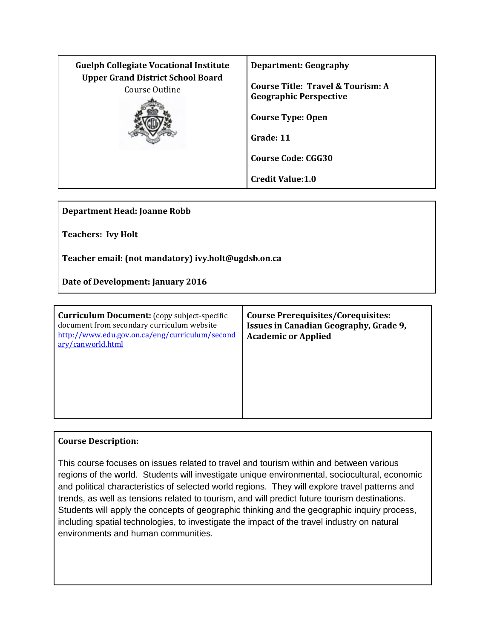| <b>Guelph Collegiate Vocational Institute</b>              | <b>Department: Geography</b>                                                                                |
|------------------------------------------------------------|-------------------------------------------------------------------------------------------------------------|
| <b>Upper Grand District School Board</b><br>Course Outline | Course Title: Travel & Tourism: A<br><b>Geographic Perspective</b><br><b>Course Type: Open</b><br>Grade: 11 |
|                                                            | <b>Course Code: CGG30</b><br><b>Credit Value: 1.0</b>                                                       |

**Department Head: Joanne Robb**

**Teachers: Ivy Holt**

**Teacher email: (not mandatory) ivy.holt@ugdsb.on.ca**

**Date of Development: January 2016**

| <b>Curriculum Document:</b> (copy subject-specific<br>document from secondary curriculum website<br>http://www.edu.gov.on.ca/eng/curriculum/second<br>ary/canworld.html | <b>Course Prerequisites/Corequisites:</b><br><b>Issues in Canadian Geography, Grade 9,</b><br><b>Academic or Applied</b> |
|-------------------------------------------------------------------------------------------------------------------------------------------------------------------------|--------------------------------------------------------------------------------------------------------------------------|
|                                                                                                                                                                         |                                                                                                                          |

## **Course Description:**

This course focuses on issues related to travel and tourism within and between various regions of the world. Students will investigate unique environmental, sociocultural, economic and political characteristics of selected world regions. They will explore travel patterns and trends, as well as tensions related to tourism, and will predict future tourism destinations. Students will apply the concepts of geographic thinking and the geographic inquiry process, including spatial technologies, to investigate the impact of the travel industry on natural environments and human communities.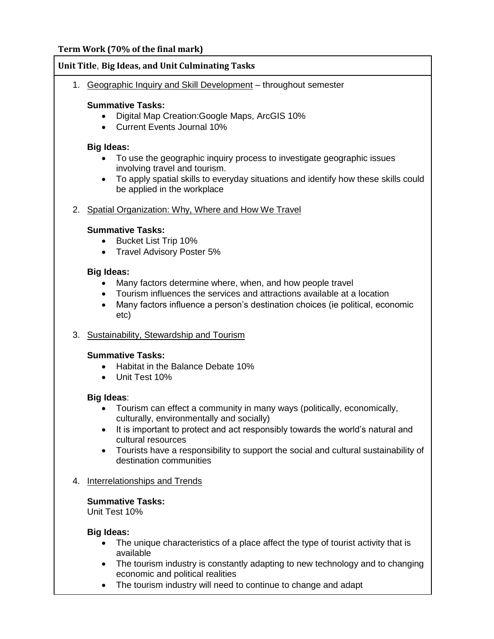# **Term Work (70% of the final mark)**

## **Unit Title**, **Big Ideas, and Unit Culminating Tasks**

1. Geographic Inquiry and Skill Development – throughout semester

## **Summative Tasks:**

- Digital Map Creation:Google Maps, ArcGIS 10%
- Current Events Journal 10%

## **Big Ideas:**

- To use the geographic inquiry process to investigate geographic issues involving travel and tourism.
- To apply spatial skills to everyday situations and identify how these skills could be applied in the workplace

# 2. Spatial Organization: Why, Where and How We Travel

## **Summative Tasks:**

- Bucket List Trip 10%
- Travel Advisory Poster 5%

## **Big Ideas:**

- Many factors determine where, when, and how people travel
- Tourism influences the services and attractions available at a location
- Many factors influence a person's destination choices (ie political, economic etc)
- 3. Sustainability, Stewardship and Tourism

## **Summative Tasks:**

- Habitat in the Balance Debate 10%
- Unit Test 10%

## **Big Ideas**:

- Tourism can effect a community in many ways (politically, economically, culturally, environmentally and socially)
- It is important to protect and act responsibly towards the world's natural and cultural resources
- Tourists have a responsibility to support the social and cultural sustainability of destination communities
- 4. Interrelationships and Trends

## **Summative Tasks:**

Unit Test 10%

## **Big Ideas:**

- The unique characteristics of a place affect the type of tourist activity that is available
- The tourism industry is constantly adapting to new technology and to changing economic and political realities
- The tourism industry will need to continue to change and adapt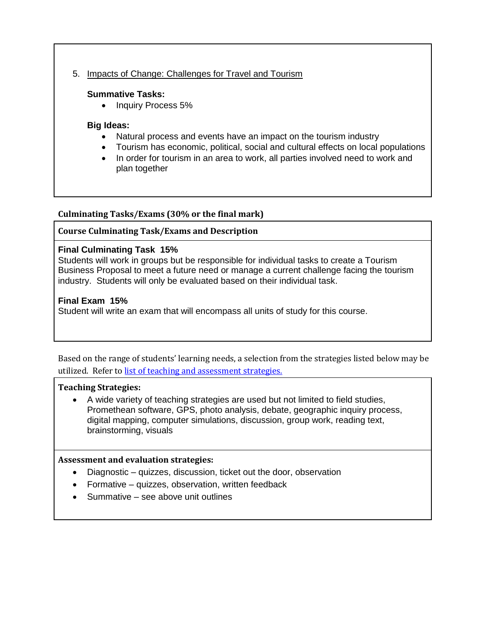# 5. Impacts of Change: Challenges for Travel and Tourism

### **Summative Tasks:**

• Inquiry Process 5%

### **Big Ideas:**

- Natural process and events have an impact on the tourism industry
- Tourism has economic, political, social and cultural effects on local populations
- In order for tourism in an area to work, all parties involved need to work and plan together

### **Culminating Tasks/Exams (30% or the final mark)**

### **Course Culminating Task/Exams and Description**

### **Final Culminating Task 15%**

Students will work in groups but be responsible for individual tasks to create a Tourism Business Proposal to meet a future need or manage a current challenge facing the tourism industry. Students will only be evaluated based on their individual task.

### **Final Exam 15%**

Student will write an exam that will encompass all units of study for this course.

Based on the range of students' learning needs, a selection from the strategies listed below may be utilized. Refer t[o list of teaching and assessment strategies.](http://www.ugdsb.on.ca/gcvi/dept/)

#### **Teaching Strategies:**

 A wide variety of teaching strategies are used but not limited to field studies, Promethean software, GPS, photo analysis, debate, geographic inquiry process, digital mapping, computer simulations, discussion, group work, reading text, brainstorming, visuals

#### **Assessment and evaluation strategies:**

- Diagnostic quizzes, discussion, ticket out the door, observation
- Formative quizzes, observation, written feedback
- Summative see above unit outlines